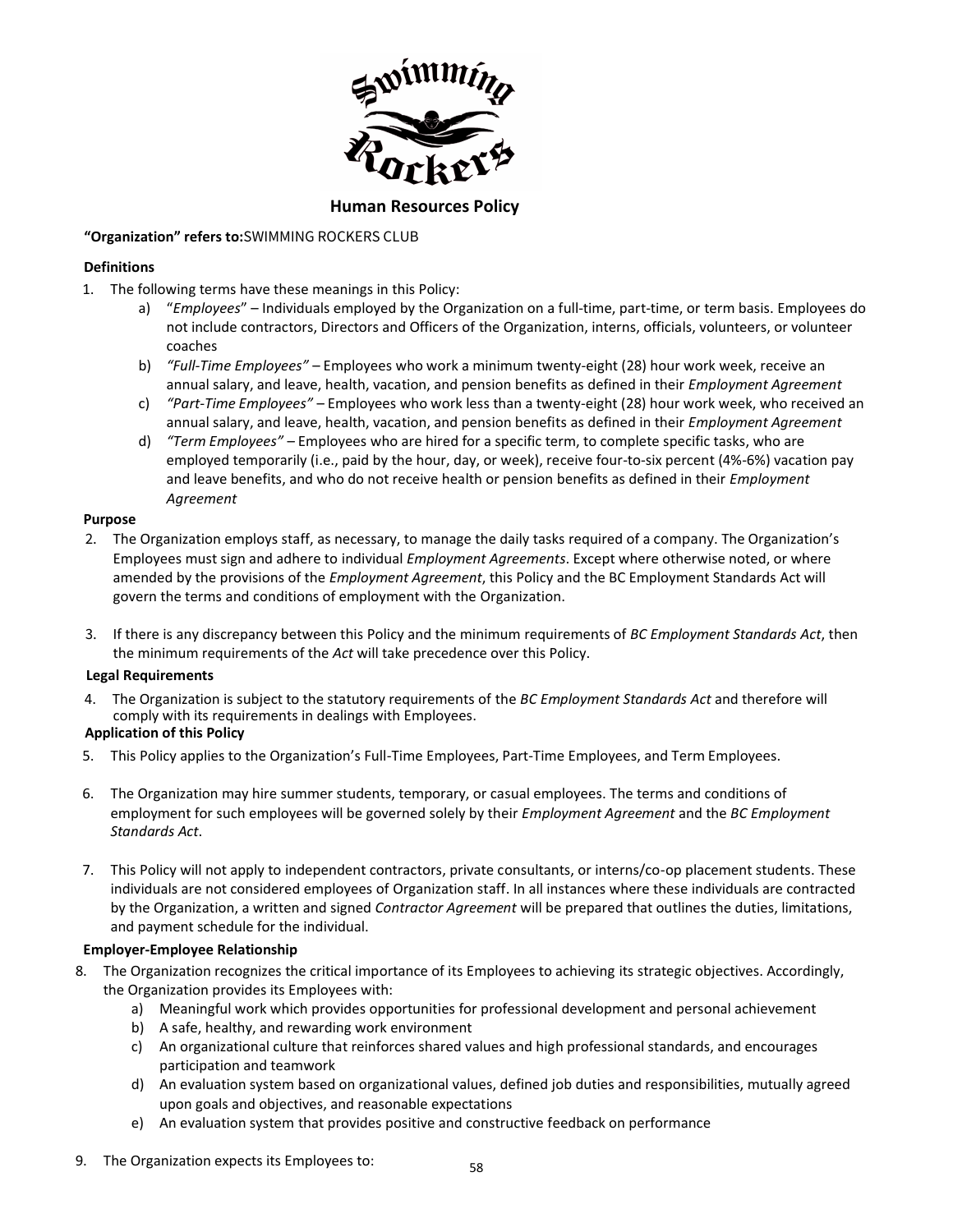

# **Human Resources Policy**

# **"Organization" refers to:**SWIMMING ROCKERS CLUB

# **Definitions**

- 1. The following terms have these meanings in this Policy:
	- a) "*Employees*" Individuals employed by the Organization on a full-time, part-time, or term basis. Employees do not include contractors, Directors and Officers of the Organization, interns, officials, volunteers, or volunteer coaches
	- b) *"Full-Time Employees"* Employees who work a minimum twenty-eight (28) hour work week, receive an annual salary, and leave, health, vacation, and pension benefits as defined in their *Employment Agreement*
	- c) *"Part-Time Employees"* Employees who work less than a twenty-eight (28) hour work week, who received an annual salary, and leave, health, vacation, and pension benefits as defined in their *Employment Agreement*
	- d) *"Term Employees"* Employees who are hired for a specific term, to complete specific tasks, who are employed temporarily (i.e., paid by the hour, day, or week), receive four-to-six percent (4%-6%) vacation pay and leave benefits, and who do not receive health or pension benefits as defined in their *Employment Agreement*

# **Purpose**

- 2. The Organization employs staff, as necessary, to manage the daily tasks required of a company. The Organization's Employees must sign and adhere to individual *Employment Agreements*. Except where otherwise noted, or where amended by the provisions of the *Employment Agreement*, this Policy and the BC Employment Standards Act will govern the terms and conditions of employment with the Organization.
- 3. If there is any discrepancy between this Policy and the minimum requirements of *BC Employment Standards Act*, then the minimum requirements of the *Act* will take precedence over this Policy.

# **Legal Requirements**

4. The Organization is subject to the statutory requirements of the *BC Employment Standards Act* and therefore will comply with its requirements in dealings with Employees.

# **Application of this Policy**

- 5. This Policy applies to the Organization's Full-Time Employees, Part-Time Employees, and Term Employees.
- 6. The Organization may hire summer students, temporary, or casual employees. The terms and conditions of employment for such employees will be governed solely by their *Employment Agreement* and the *BC Employment Standards Act*.
- 7. This Policy will not apply to independent contractors, private consultants, or interns/co-op placement students. These individuals are not considered employees of Organization staff. In all instances where these individuals are contracted by the Organization, a written and signed *Contractor Agreement* will be prepared that outlines the duties, limitations, and payment schedule for the individual.

# **Employer-Employee Relationship**

- 8. The Organization recognizes the critical importance of its Employees to achieving its strategic objectives. Accordingly, the Organization provides its Employees with:
	- a) Meaningful work which provides opportunities for professional development and personal achievement
	- b) A safe, healthy, and rewarding work environment
	- c) An organizational culture that reinforces shared values and high professional standards, and encourages participation and teamwork
	- d) An evaluation system based on organizational values, defined job duties and responsibilities, mutually agreed upon goals and objectives, and reasonable expectations
	- e) An evaluation system that provides positive and constructive feedback on performance
- 9. The Organization expects its Employees to: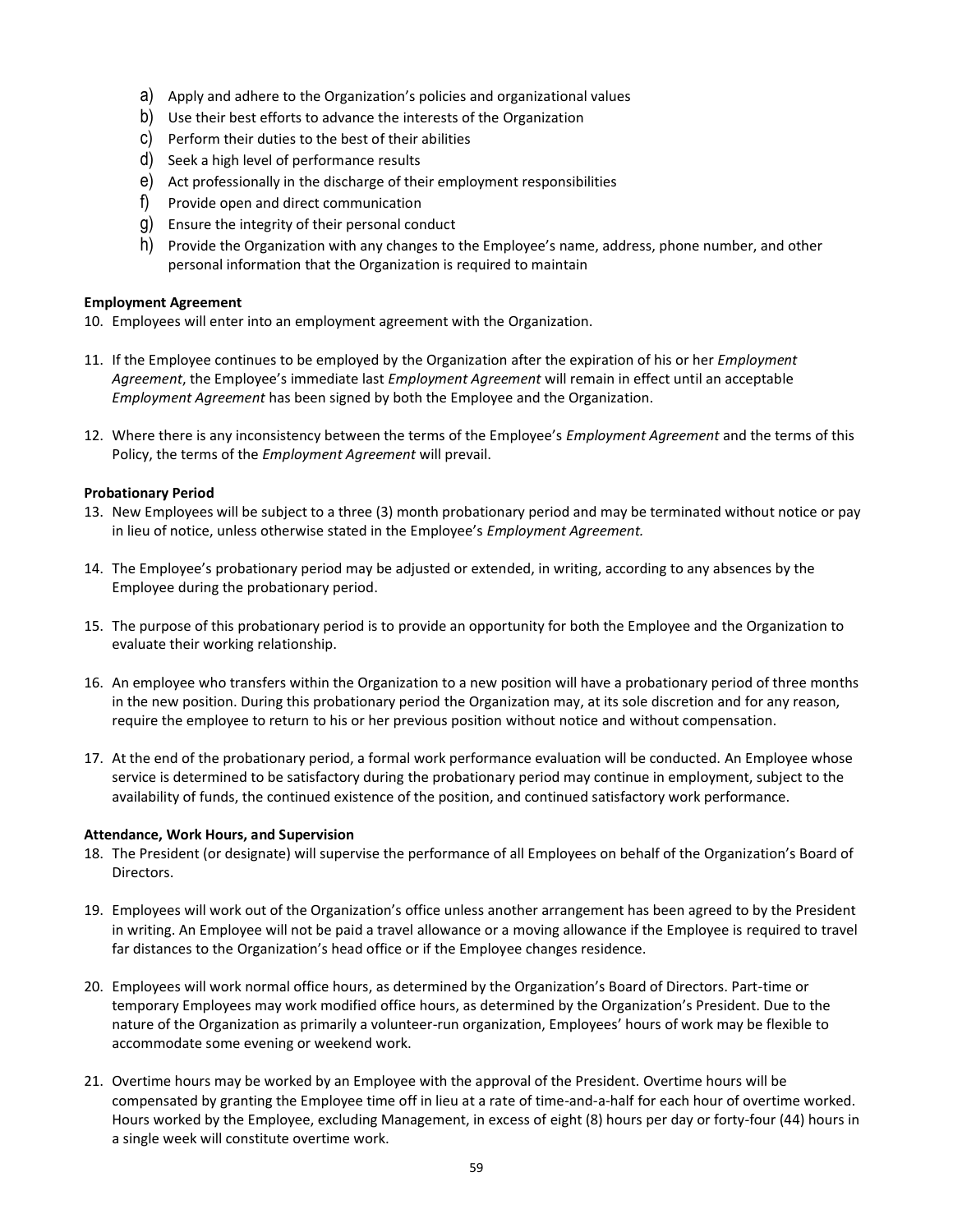- a) Apply and adhere to the Organization's policies and organizational values
- b) Use their best efforts to advance the interests of the Organization
- c) Perform their duties to the best of their abilities
- d) Seek a high level of performance results
- e) Act professionally in the discharge of their employment responsibilities
- f) Provide open and direct communication
- g) Ensure the integrity of their personal conduct
- h) Provide the Organization with any changes to the Employee's name, address, phone number, and other personal information that the Organization is required to maintain

### **Employment Agreement**

- 10. Employees will enter into an employment agreement with the Organization.
- 11. If the Employee continues to be employed by the Organization after the expiration of his or her *Employment Agreement*, the Employee's immediate last *Employment Agreement* will remain in effect until an acceptable *Employment Agreement* has been signed by both the Employee and the Organization.
- 12. Where there is any inconsistency between the terms of the Employee's *Employment Agreement* and the terms of this Policy, the terms of the *Employment Agreement* will prevail.

### **Probationary Period**

- 13. New Employees will be subject to a three (3) month probationary period and may be terminated without notice or pay in lieu of notice, unless otherwise stated in the Employee's *Employment Agreement.*
- 14. The Employee's probationary period may be adjusted or extended, in writing, according to any absences by the Employee during the probationary period.
- 15. The purpose of this probationary period is to provide an opportunity for both the Employee and the Organization to evaluate their working relationship.
- 16. An employee who transfers within the Organization to a new position will have a probationary period of three months in the new position. During this probationary period the Organization may, at its sole discretion and for any reason, require the employee to return to his or her previous position without notice and without compensation.
- 17. At the end of the probationary period, a formal work performance evaluation will be conducted. An Employee whose service is determined to be satisfactory during the probationary period may continue in employment, subject to the availability of funds, the continued existence of the position, and continued satisfactory work performance.

# **Attendance, Work Hours, and Supervision**

- 18. The President (or designate) will supervise the performance of all Employees on behalf of the Organization's Board of Directors.
- 19. Employees will work out of the Organization's office unless another arrangement has been agreed to by the President in writing. An Employee will not be paid a travel allowance or a moving allowance if the Employee is required to travel far distances to the Organization's head office or if the Employee changes residence.
- 20. Employees will work normal office hours, as determined by the Organization's Board of Directors. Part-time or temporary Employees may work modified office hours, as determined by the Organization's President. Due to the nature of the Organization as primarily a volunteer-run organization, Employees' hours of work may be flexible to accommodate some evening or weekend work.
- 21. Overtime hours may be worked by an Employee with the approval of the President. Overtime hours will be compensated by granting the Employee time off in lieu at a rate of time-and-a-half for each hour of overtime worked. Hours worked by the Employee, excluding Management, in excess of eight (8) hours per day or forty-four (44) hours in a single week will constitute overtime work.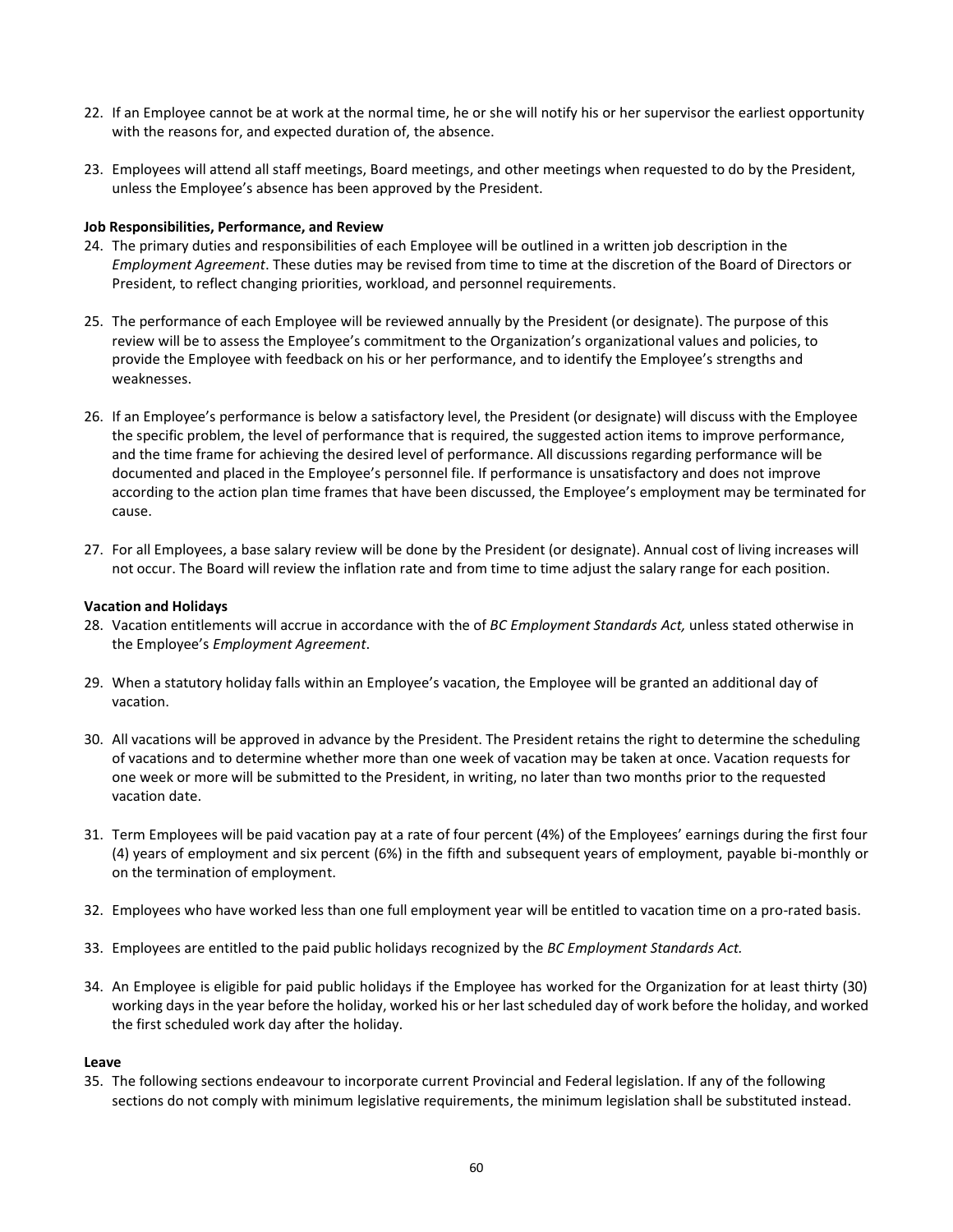- 22. If an Employee cannot be at work at the normal time, he or she will notify his or her supervisor the earliest opportunity with the reasons for, and expected duration of, the absence.
- 23. Employees will attend all staff meetings, Board meetings, and other meetings when requested to do by the President, unless the Employee's absence has been approved by the President.

### **Job Responsibilities, Performance, and Review**

- 24. The primary duties and responsibilities of each Employee will be outlined in a written job description in the *Employment Agreement*. These duties may be revised from time to time at the discretion of the Board of Directors or President, to reflect changing priorities, workload, and personnel requirements.
- 25. The performance of each Employee will be reviewed annually by the President (or designate). The purpose of this review will be to assess the Employee's commitment to the Organization's organizational values and policies, to provide the Employee with feedback on his or her performance, and to identify the Employee's strengths and weaknesses.
- 26. If an Employee's performance is below a satisfactory level, the President (or designate) will discuss with the Employee the specific problem, the level of performance that is required, the suggested action items to improve performance, and the time frame for achieving the desired level of performance. All discussions regarding performance will be documented and placed in the Employee's personnel file. If performance is unsatisfactory and does not improve according to the action plan time frames that have been discussed, the Employee's employment may be terminated for cause.
- 27. For all Employees, a base salary review will be done by the President (or designate). Annual cost of living increases will not occur. The Board will review the inflation rate and from time to time adjust the salary range for each position.

#### **Vacation and Holidays**

- 28. Vacation entitlements will accrue in accordance with the of *BC Employment Standards Act,* unless stated otherwise in the Employee's *Employment Agreement*.
- 29. When a statutory holiday falls within an Employee's vacation, the Employee will be granted an additional day of vacation.
- 30. All vacations will be approved in advance by the President. The President retains the right to determine the scheduling of vacations and to determine whether more than one week of vacation may be taken at once. Vacation requests for one week or more will be submitted to the President, in writing, no later than two months prior to the requested vacation date.
- 31. Term Employees will be paid vacation pay at a rate of four percent (4%) of the Employees' earnings during the first four (4) years of employment and six percent (6%) in the fifth and subsequent years of employment, payable bi-monthly or on the termination of employment.
- 32. Employees who have worked less than one full employment year will be entitled to vacation time on a pro-rated basis.
- 33. Employees are entitled to the paid public holidays recognized by the *BC Employment Standards Act.*
- 34. An Employee is eligible for paid public holidays if the Employee has worked for the Organization for at least thirty (30) working days in the year before the holiday, worked his or her last scheduled day of work before the holiday, and worked the first scheduled work day after the holiday.

#### **Leave**

35. The following sections endeavour to incorporate current Provincial and Federal legislation. If any of the following sections do not comply with minimum legislative requirements, the minimum legislation shall be substituted instead.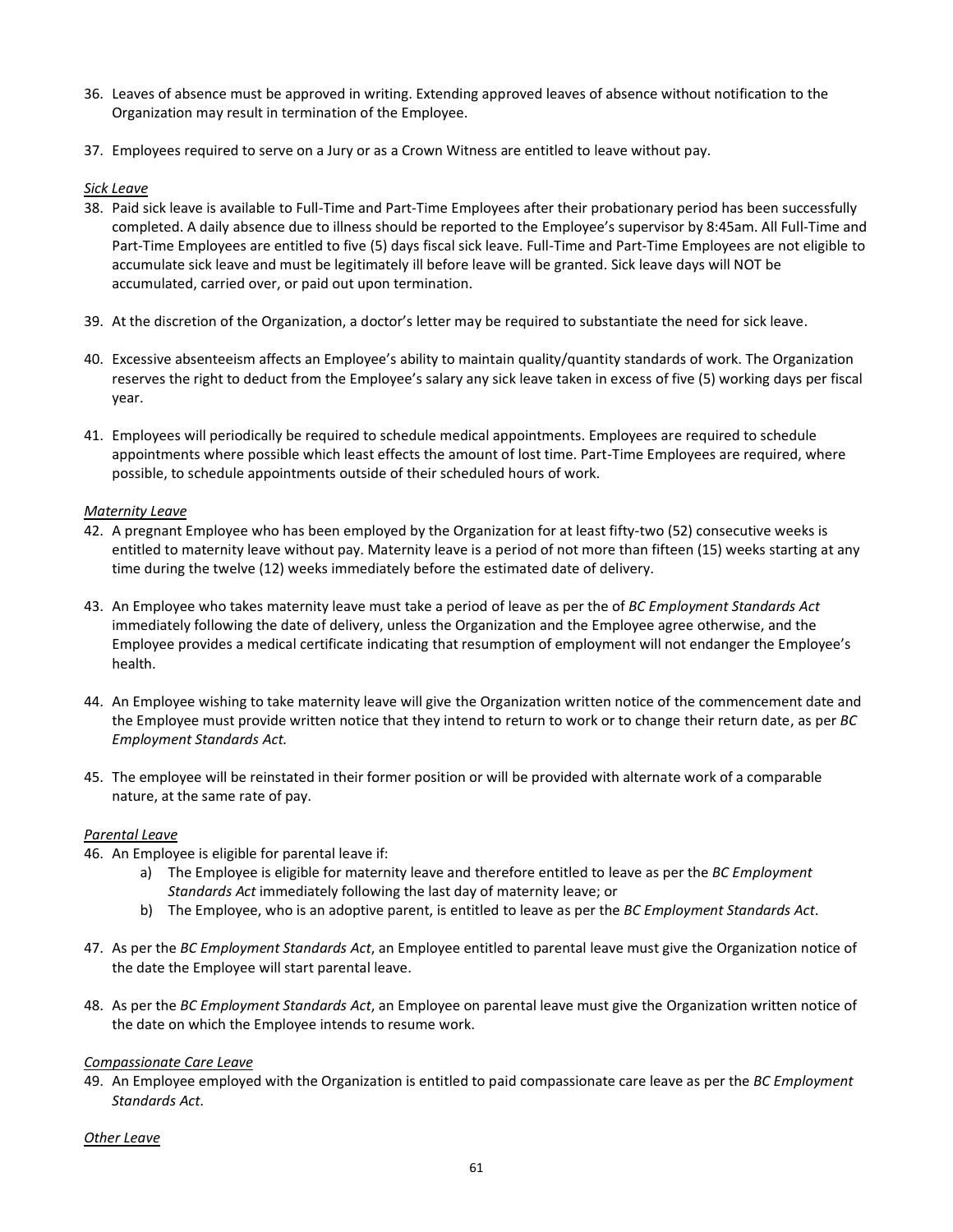- 36. Leaves of absence must be approved in writing. Extending approved leaves of absence without notification to the Organization may result in termination of the Employee.
- 37. Employees required to serve on a Jury or as a Crown Witness are entitled to leave without pay.

### *Sick Leave*

- 38. Paid sick leave is available to Full-Time and Part-Time Employees after their probationary period has been successfully completed. A daily absence due to illness should be reported to the Employee's supervisor by 8:45am. All Full-Time and Part-Time Employees are entitled to five (5) days fiscal sick leave. Full-Time and Part-Time Employees are not eligible to accumulate sick leave and must be legitimately ill before leave will be granted. Sick leave days will NOT be accumulated, carried over, or paid out upon termination.
- 39. At the discretion of the Organization, a doctor's letter may be required to substantiate the need for sick leave.
- 40. Excessive absenteeism affects an Employee's ability to maintain quality/quantity standards of work. The Organization reserves the right to deduct from the Employee's salary any sick leave taken in excess of five (5) working days per fiscal year.
- 41. Employees will periodically be required to schedule medical appointments. Employees are required to schedule appointments where possible which least effects the amount of lost time. Part-Time Employees are required, where possible, to schedule appointments outside of their scheduled hours of work.

### *Maternity Leave*

- 42. A pregnant Employee who has been employed by the Organization for at least fifty-two (52) consecutive weeks is entitled to maternity leave without pay. Maternity leave is a period of not more than fifteen (15) weeks starting at any time during the twelve (12) weeks immediately before the estimated date of delivery.
- 43. An Employee who takes maternity leave must take a period of leave as per the of *BC Employment Standards Act* immediately following the date of delivery, unless the Organization and the Employee agree otherwise, and the Employee provides a medical certificate indicating that resumption of employment will not endanger the Employee's health.
- 44. An Employee wishing to take maternity leave will give the Organization written notice of the commencement date and the Employee must provide written notice that they intend to return to work or to change their return date, as per *BC Employment Standards Act.*
- 45. The employee will be reinstated in their former position or will be provided with alternate work of a comparable nature, at the same rate of pay.

# *Parental Leave*

- 46. An Employee is eligible for parental leave if:
	- a) The Employee is eligible for maternity leave and therefore entitled to leave as per the *BC Employment Standards Act* immediately following the last day of maternity leave; or
	- b) The Employee, who is an adoptive parent, is entitled to leave as per the *BC Employment Standards Act*.
- 47. As per the *BC Employment Standards Act*, an Employee entitled to parental leave must give the Organization notice of the date the Employee will start parental leave.
- 48. As per the *BC Employment Standards Act*, an Employee on parental leave must give the Organization written notice of the date on which the Employee intends to resume work.

# *Compassionate Care Leave*

49. An Employee employed with the Organization is entitled to paid compassionate care leave as per the *BC Employment Standards Act*.

# *Other Leave*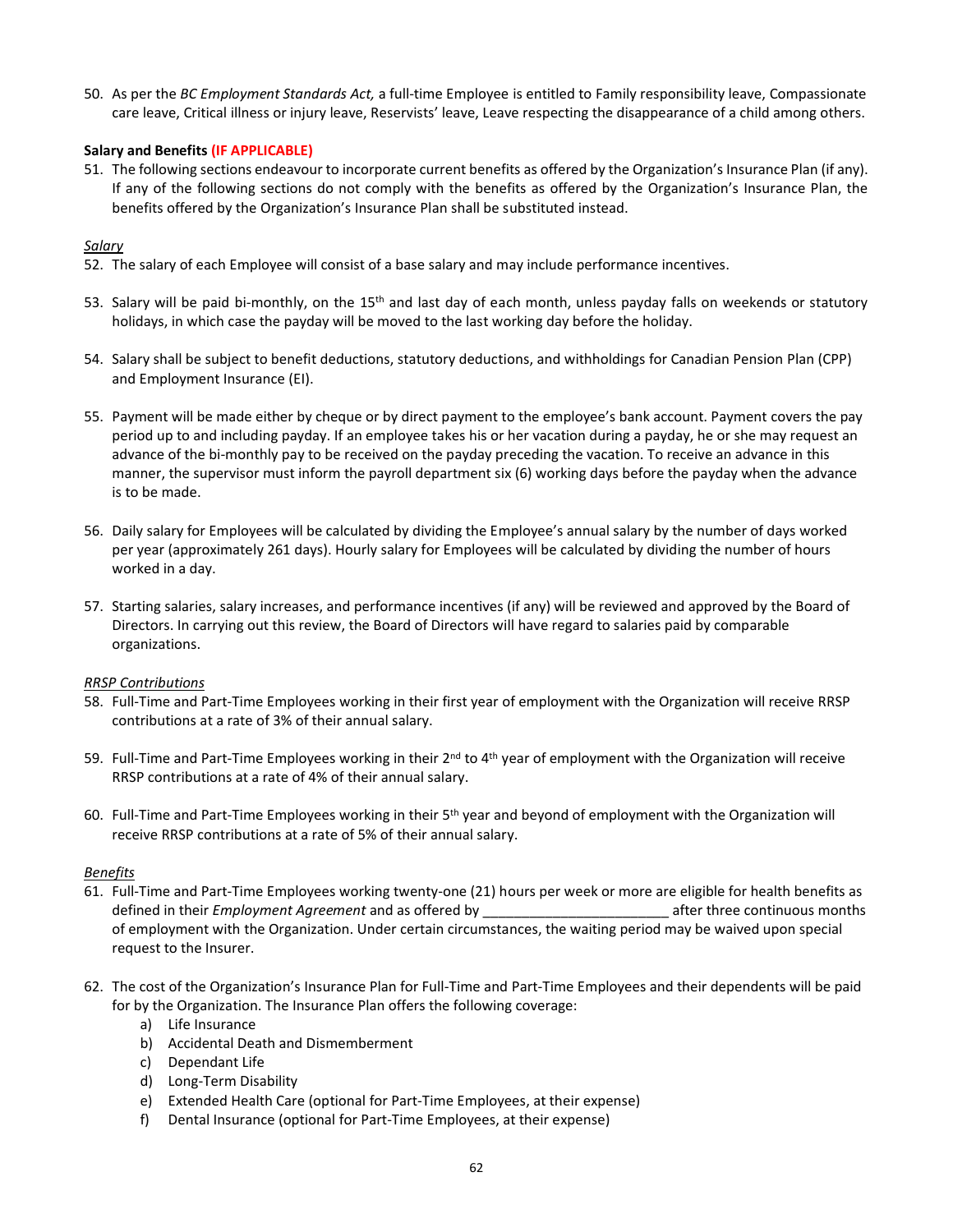50. As per the *BC Employment Standards Act,* a full-time Employee is entitled to Family responsibility leave, Compassionate care leave, Critical illness or injury leave, Reservists' leave, Leave respecting the disappearance of a child among others.

# **Salary and Benefits (IF APPLICABLE)**

51. The following sections endeavour to incorporate current benefits as offered by the Organization's Insurance Plan (if any). If any of the following sections do not comply with the benefits as offered by the Organization's Insurance Plan, the benefits offered by the Organization's Insurance Plan shall be substituted instead.

# *Salary*

- 52. The salary of each Employee will consist of a base salary and may include performance incentives.
- 53. Salary will be paid bi-monthly, on the 15<sup>th</sup> and last day of each month, unless payday falls on weekends or statutory holidays, in which case the payday will be moved to the last working day before the holiday.
- 54. Salary shall be subject to benefit deductions, statutory deductions, and withholdings for Canadian Pension Plan (CPP) and Employment Insurance (EI).
- 55. Payment will be made either by cheque or by direct payment to the employee's bank account. Payment covers the pay period up to and including payday. If an employee takes his or her vacation during a payday, he or she may request an advance of the bi-monthly pay to be received on the payday preceding the vacation. To receive an advance in this manner, the supervisor must inform the payroll department six (6) working days before the payday when the advance is to be made.
- 56. Daily salary for Employees will be calculated by dividing the Employee's annual salary by the number of days worked per year (approximately 261 days). Hourly salary for Employees will be calculated by dividing the number of hours worked in a day.
- 57. Starting salaries, salary increases, and performance incentives (if any) will be reviewed and approved by the Board of Directors. In carrying out this review, the Board of Directors will have regard to salaries paid by comparable organizations.

# *RRSP Contributions*

- 58. Full-Time and Part-Time Employees working in their first year of employment with the Organization will receive RRSP contributions at a rate of 3% of their annual salary.
- 59. Full-Time and Part-Time Employees working in their  $2^{nd}$  to 4<sup>th</sup> year of employment with the Organization will receive RRSP contributions at a rate of 4% of their annual salary.
- 60. Full-Time and Part-Time Employees working in their 5th year and beyond of employment with the Organization will receive RRSP contributions at a rate of 5% of their annual salary.

# *Benefits*

- 61. Full-Time and Part-Time Employees working twenty-one (21) hours per week or more are eligible for health benefits as defined in their *Employment Agreement* and as offered by example the same after three continuous months of employment with the Organization. Under certain circumstances, the waiting period may be waived upon special request to the Insurer.
- 62. The cost of the Organization's Insurance Plan for Full-Time and Part-Time Employees and their dependents will be paid for by the Organization. The Insurance Plan offers the following coverage:
	- a) Life Insurance
	- b) Accidental Death and Dismemberment
	- c) Dependant Life
	- d) Long-Term Disability
	- e) Extended Health Care (optional for Part-Time Employees, at their expense)
	- f) Dental Insurance (optional for Part-Time Employees, at their expense)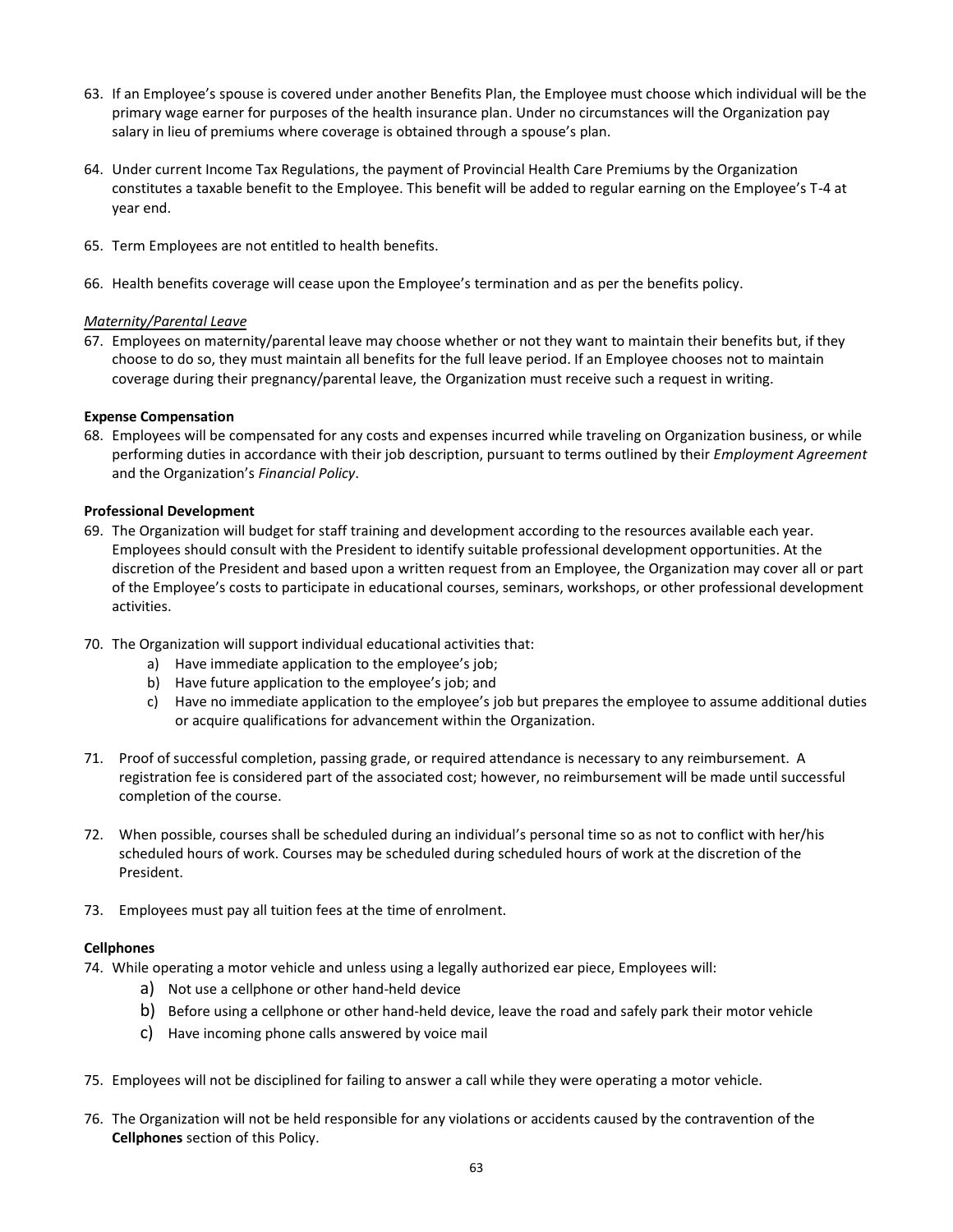- 63. If an Employee's spouse is covered under another Benefits Plan, the Employee must choose which individual will be the primary wage earner for purposes of the health insurance plan. Under no circumstances will the Organization pay salary in lieu of premiums where coverage is obtained through a spouse's plan.
- 64. Under current Income Tax Regulations, the payment of Provincial Health Care Premiums by the Organization constitutes a taxable benefit to the Employee. This benefit will be added to regular earning on the Employee's T-4 at year end.
- 65. Term Employees are not entitled to health benefits.
- 66. Health benefits coverage will cease upon the Employee's termination and as per the benefits policy.

### *Maternity/Parental Leave*

67. Employees on maternity/parental leave may choose whether or not they want to maintain their benefits but, if they choose to do so, they must maintain all benefits for the full leave period. If an Employee chooses not to maintain coverage during their pregnancy/parental leave, the Organization must receive such a request in writing.

### **Expense Compensation**

68. Employees will be compensated for any costs and expenses incurred while traveling on Organization business, or while performing duties in accordance with their job description, pursuant to terms outlined by their *Employment Agreement* and the Organization's *Financial Policy*.

### **Professional Development**

- 69. The Organization will budget for staff training and development according to the resources available each year. Employees should consult with the President to identify suitable professional development opportunities. At the discretion of the President and based upon a written request from an Employee, the Organization may cover all or part of the Employee's costs to participate in educational courses, seminars, workshops, or other professional development activities.
- 70. The Organization will support individual educational activities that:
	- a) Have immediate application to the employee's job;
	- b) Have future application to the employee's job; and
	- c) Have no immediate application to the employee's job but prepares the employee to assume additional duties or acquire qualifications for advancement within the Organization.
- 71. Proof of successful completion, passing grade, or required attendance is necessary to any reimbursement. A registration fee is considered part of the associated cost; however, no reimbursement will be made until successful completion of the course.
- 72. When possible, courses shall be scheduled during an individual's personal time so as not to conflict with her/his scheduled hours of work. Courses may be scheduled during scheduled hours of work at the discretion of the President.
- 73. Employees must pay all tuition fees at the time of enrolment.

#### **Cellphones**

- 74. While operating a motor vehicle and unless using a legally authorized ear piece, Employees will:
	- a) Not use a cellphone or other hand-held device
	- b) Before using a cellphone or other hand-held device, leave the road and safely park their motor vehicle
	- c) Have incoming phone calls answered by voice mail
- 75. Employees will not be disciplined for failing to answer a call while they were operating a motor vehicle.
- 76. The Organization will not be held responsible for any violations or accidents caused by the contravention of the **Cellphones** section of this Policy.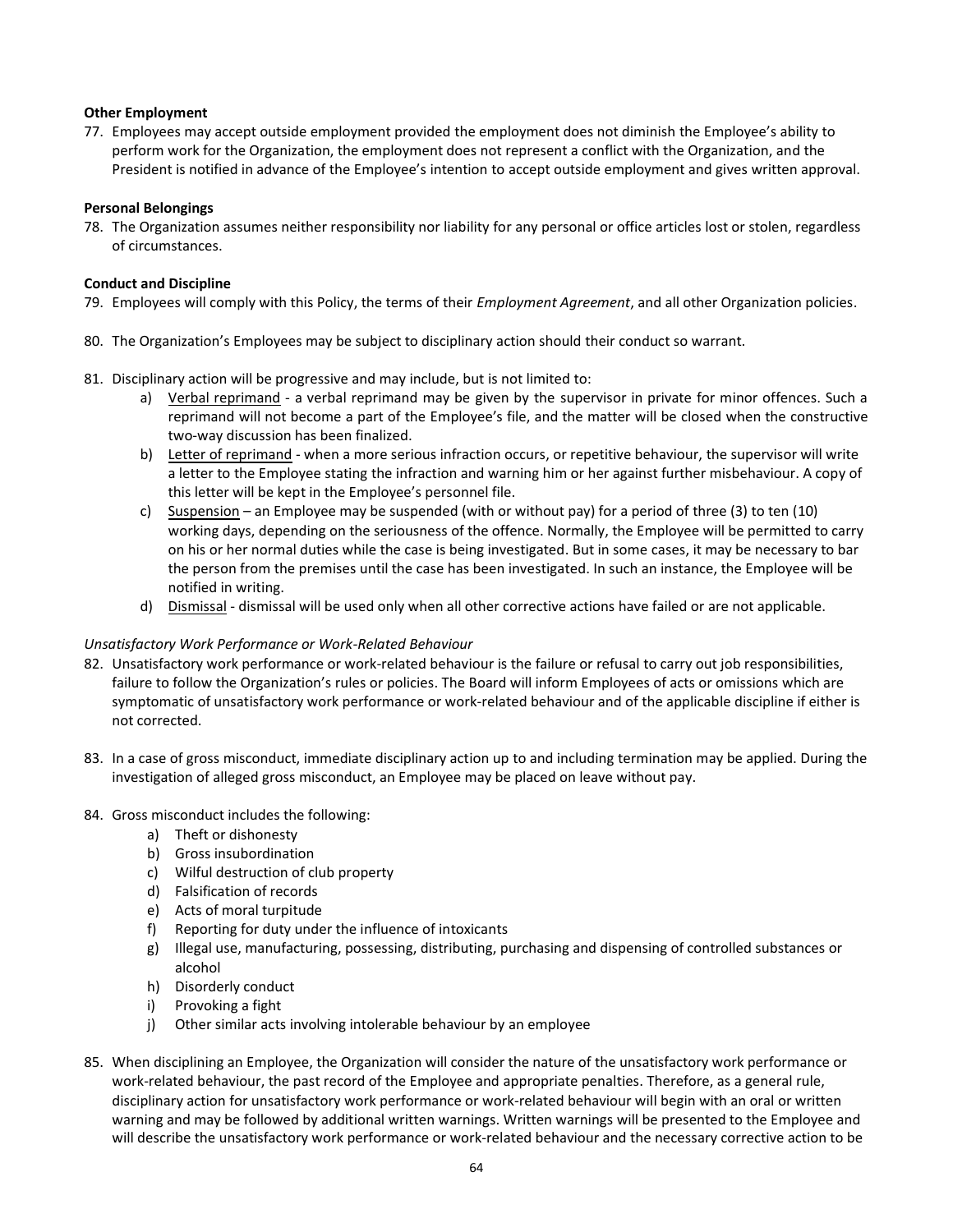# **Other Employment**

77. Employees may accept outside employment provided the employment does not diminish the Employee's ability to perform work for the Organization, the employment does not represent a conflict with the Organization, and the President is notified in advance of the Employee's intention to accept outside employment and gives written approval.

#### **Personal Belongings**

78. The Organization assumes neither responsibility nor liability for any personal or office articles lost or stolen, regardless of circumstances.

### **Conduct and Discipline**

- 79. Employees will comply with this Policy, the terms of their *Employment Agreement*, and all other Organization policies.
- 80. The Organization's Employees may be subject to disciplinary action should their conduct so warrant.
- 81. Disciplinary action will be progressive and may include, but is not limited to:
	- a) Verbal reprimand a verbal reprimand may be given by the supervisor in private for minor offences. Such a reprimand will not become a part of the Employee's file, and the matter will be closed when the constructive two-way discussion has been finalized.
	- b) Letter of reprimand when a more serious infraction occurs, or repetitive behaviour, the supervisor will write a letter to the Employee stating the infraction and warning him or her against further misbehaviour. A copy of this letter will be kept in the Employee's personnel file.
	- c) Suspension an Employee may be suspended (with or without pay) for a period of three (3) to ten (10) working days, depending on the seriousness of the offence. Normally, the Employee will be permitted to carry on his or her normal duties while the case is being investigated. But in some cases, it may be necessary to bar the person from the premises until the case has been investigated. In such an instance, the Employee will be notified in writing.
	- d) Dismissal dismissal will be used only when all other corrective actions have failed or are not applicable.

# *Unsatisfactory Work Performance or Work-Related Behaviour*

- 82. Unsatisfactory work performance or work-related behaviour is the failure or refusal to carry out job responsibilities, failure to follow the Organization's rules or policies. The Board will inform Employees of acts or omissions which are symptomatic of unsatisfactory work performance or work-related behaviour and of the applicable discipline if either is not corrected.
- 83. In a case of gross misconduct, immediate disciplinary action up to and including termination may be applied. During the investigation of alleged gross misconduct, an Employee may be placed on leave without pay.

#### 84. Gross misconduct includes the following:

- a) Theft or dishonesty
- b) Gross insubordination
- c) Wilful destruction of club property
- d) Falsification of records
- e) Acts of moral turpitude
- f) Reporting for duty under the influence of intoxicants
- g) Illegal use, manufacturing, possessing, distributing, purchasing and dispensing of controlled substances or alcohol
- h) Disorderly conduct
- i) Provoking a fight
- j) Other similar acts involving intolerable behaviour by an employee
- 85. When disciplining an Employee, the Organization will consider the nature of the unsatisfactory work performance or work-related behaviour, the past record of the Employee and appropriate penalties. Therefore, as a general rule, disciplinary action for unsatisfactory work performance or work-related behaviour will begin with an oral or written warning and may be followed by additional written warnings. Written warnings will be presented to the Employee and will describe the unsatisfactory work performance or work-related behaviour and the necessary corrective action to be